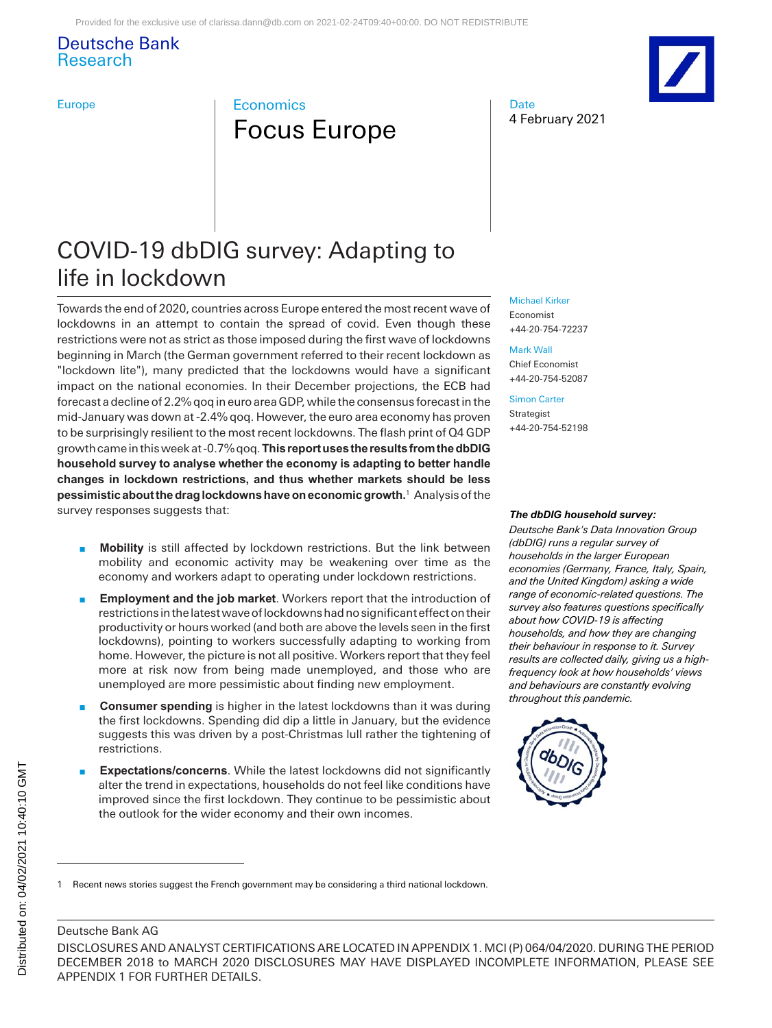# Deutsche Bank Research

# Europe **Europe Example Exchange Economics** Focus Europe

4 February 2021 **Date** 



# COVID-19 dbDIG survey: Adapting to life in lockdown

Towards the end of 2020, countries across Europe entered the most recent wave of lockdowns in an attempt to contain the spread of covid. Even though these restrictions were not as strict as those imposed during the first wave of lockdowns beginning in March (the German government referred to their recent lockdown as "lockdown lite"), many predicted that the lockdowns would have a significant impact on the national economies. In their December projections, the ECB had forecast a decline of 2.2% qoq in euro area GDP, while the consensus forecast in the mid-January was down at -2.4% qoq. However, the euro area economy has proven to be surprisingly resilient to the most recent lockdowns. The flash print of Q4 GDP growth came in this week at -0.7% qoq. **This report uses the results from the dbDIG household survey to analyse whether the economy is adapting to better handle changes in lockdown restrictions, and thus whether markets should be less pessimistic about the drag lockdowns have on economic growth.**<sup>1</sup> Analysis of the survey responses suggests that:

- **Mobility** is still affected by lockdown restrictions. But the link between mobility and economic activity may be weakening over time as the economy and workers adapt to operating under lockdown restrictions.
- **Employment and the job market**. Workers report that the introduction of restrictions in the latest wave of lockdowns had no significant effect on their productivity or hours worked (and both are above the levels seen in the first lockdowns), pointing to workers successfully adapting to working from home. However, the picture is not all positive. Workers report that they feel more at risk now from being made unemployed, and those who are unemployed are more pessimistic about finding new employment.
- **n Consumer spending** is higher in the latest lockdowns than it was during the first lockdowns. Spending did dip a little in January, but the evidence suggests this was driven by a post-Christmas lull rather the tightening of restrictions.
- **Expectations/concerns**. While the latest lockdowns did not significantly alter the trend in expectations, households do not feel like conditions have improved since the first lockdown. They continue to be pessimistic about the outlook for the wider economy and their own incomes.

#### [Michael Kirker](mailto:michael.kirker@db.com)

Economist +44-20-754-72237

[Mark Wall](mailto:mark.wall@db.com) Chief Economist +44-20-754-52087

[Simon Carter](mailto:simon-d.carter@db.com) Strategist +44-20-754-52198

#### *The dbDIG household survey:*

*Deutsche Bank's Data Innovation Group (dbDIG) runs a regular survey of households in the larger European economies (Germany, France, Italy, Spain, and the United Kingdom) asking a wide range of economic-related questions. The survey also features questions specifically about how COVID-19 is affecting households, and how they are changing their behaviour in response to it. Survey results are collected daily, giving us a highfrequency look at how households' views and behaviours are constantly evolving throughout this pandemic.*



## Deutsche Bank AG

<sup>1</sup> Recent news stories suggest the French government may be considering a third national lockdown.

DISCLOSURES AND ANALYST CERTIFICATIONS ARE LOCATED IN APPENDIX 1. MCI (P) 064/04/2020. DURING THE PERIOD DECEMBER 2018 to MARCH 2020 DISCLOSURES MAY HAVE DISPLAYED INCOMPLETE INFORMATION, PLEASE SEE APPENDIX 1 FOR FURTHER DETAILS.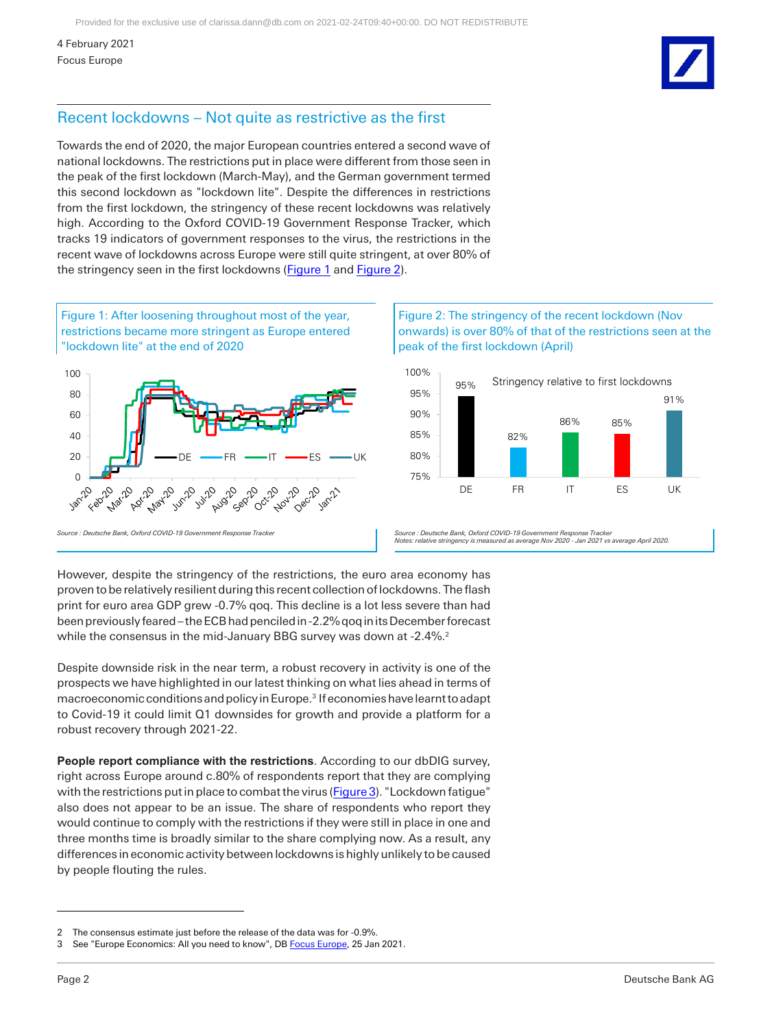# Recent lockdowns – Not quite as restrictive as the first

Towards the end of 2020, the major European countries entered a second wave of national lockdowns. The restrictions put in place were different from those seen in the peak of the first lockdown (March-May), and the German government termed this second lockdown as "lockdown lite". Despite the differences in restrictions from the first lockdown, the stringency of these recent lockdowns was relatively high. According to the Oxford COVID-19 Government Response Tracker, which tracks 19 indicators of government responses to the virus, the restrictions in the recent wave of lockdowns across Europe were still quite stringent, at over 80% of the stringency seen in the first lockdowns [\(Figure 1](#page-1-0) an[d Figure 2\)](#page-1-1).

<span id="page-1-0"></span>

## <span id="page-1-1"></span>Figure 2: The stringency of the recent lockdown (Nov onwards) is over 80% of that of the restrictions seen at the peak of the first lockdown (April)



*Source : Deutsche Bank, Oxford COVID-19 Government Response Tracker Notes: relative stringency is measured as average Nov 2020 - Jan 2021 vs average April 2020.*

However, despite the stringency of the restrictions, the euro area economy has proven to be relatively resilient during this recent collection of lockdowns. The flash print for euro area GDP grew -0.7% qoq. This decline is a lot less severe than had been previously feared – the ECB had penciled in -2.2% qoq in its December forecast while the consensus in the mid-January BBG survey was down at -2.4%.<sup>2</sup>

Despite downside risk in the near term, a robust recovery in activity is one of the prospects we have highlighted in our latest thinking on what lies ahead in terms of macroeconomic conditions and policy in Europe.<sup>3</sup> If economies have learnt to adapt to Covid-19 it could limit Q1 downsides for growth and provide a platform for a robust recovery through 2021-22.

**People report compliance with the restrictions**. According to our dbDIG survey, right across Europe around c.80% of respondents report that they are complying with the restrictions put in place to combat the virus [\(Figure 3\)](#page-2-0). "Lockdown fatigue" also does not appear to be an issue. The share of respondents who report they would continue to comply with the restrictions if they were still in place in one and three months time is broadly similar to the share complying now. As a result, any differences in economic activity between lockdowns is highly unlikely to be caused by people flouting the rules.

<sup>2</sup> The consensus estimate just before the release of the data was for -0.9%.

<sup>3</sup> See "Europe Economics: All you need to know", DB [Focus Europe,](https://research.db.com/Research/Article?rid=f61a650d_71fc_4c1d_9453_5ce9aa5772e6_604&kid=RP0001&wt_cc1=IND-2289662-4856) 25 Jan 2021.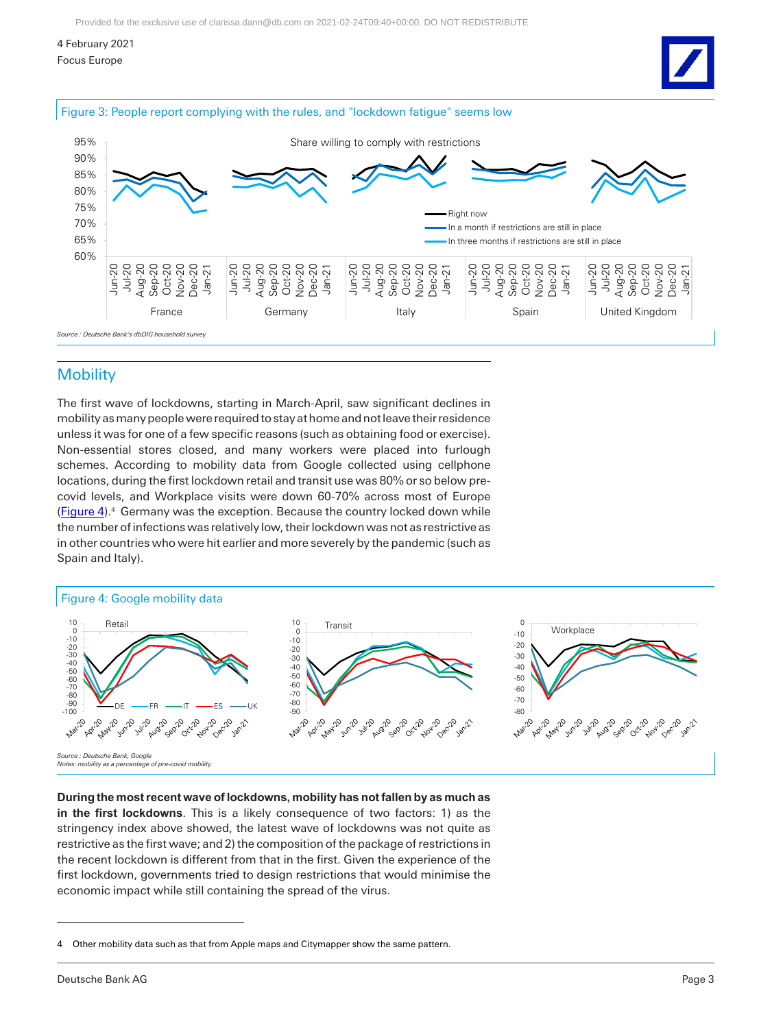4 February 2021

Focus Europe

<span id="page-2-0"></span>



# **Mobility**

The first wave of lockdowns, starting in March-April, saw significant declines in mobility as many people were required to stay at home and not leave their residence unless it was for one of a few specific reasons (such as obtaining food or exercise). Non-essential stores closed, and many workers were placed into furlough schemes. According to mobility data from Google collected using cellphone locations, during the first lockdown retail and transit use was 80% or so below precovid levels, and Workplace visits were down 60-70% across most of Europe [\(Figure 4\)](#page-2-1).<sup>4</sup> Germany was the exception. Because the country locked down while the number of infections was relatively low, their lockdown was not as restrictive as in other countries who were hit earlier and more severely by the pandemic (such as Spain and Italy).

### <span id="page-2-1"></span>Figure 4: Google mobility data



#### **During the most recent wave of lockdowns, mobility has not fallen by as much as**

**in the first lockdowns**. This is a likely consequence of two factors: 1) as the stringency index above showed, the latest wave of lockdowns was not quite as restrictive as the first wave; and 2) the composition of the package of restrictions in the recent lockdown is different from that in the first. Given the experience of the first lockdown, governments tried to design restrictions that would minimise the economic impact while still containing the spread of the virus.

<sup>4</sup> Other mobility data such as that from Apple maps and Citymapper show the same pattern.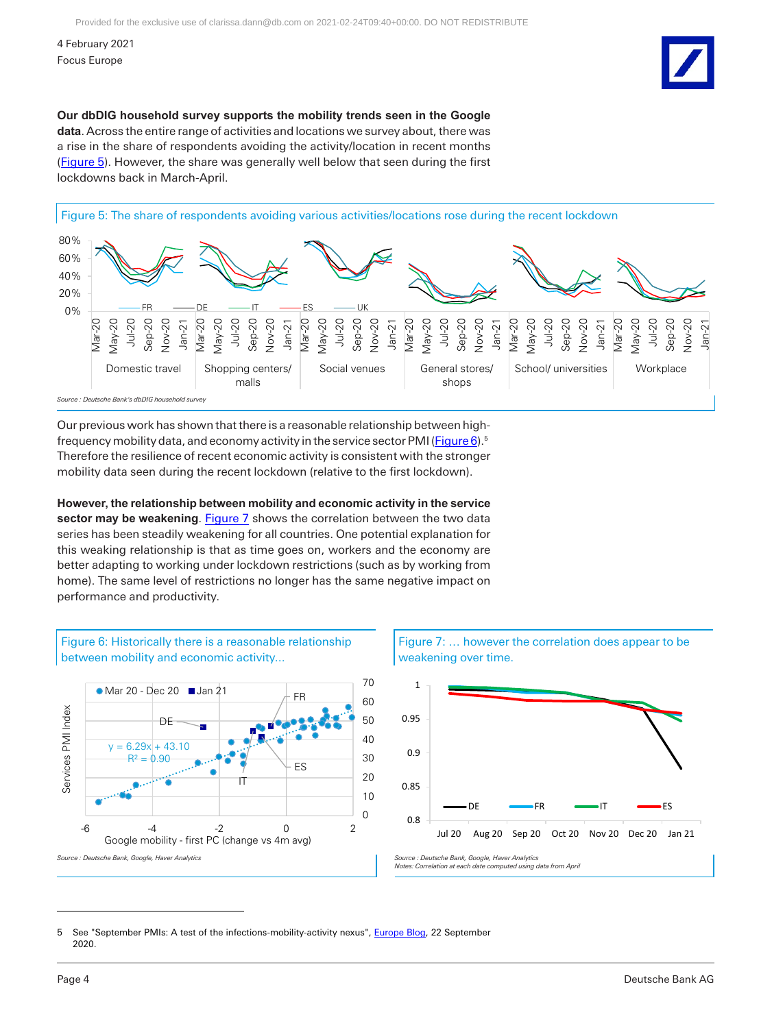**Our dbDIG household survey supports the mobility trends seen in the Google data**. Across the entire range of activities and locations we survey about, there was a rise in the share of respondents avoiding the activity/location in recent months [\(Figure 5\)](#page-3-0). However, the share was generally well below that seen during the first lockdowns back in March-April.

<span id="page-3-0"></span>



Our previous work has shown that there is a reasonable relationship between highfrequency mobility data, and economy activity in the service sector PMI [\(Figure 6\)](#page-3-1).<sup>5</sup> Therefore the resilience of recent economic activity is consistent with the stronger mobility data seen during the recent lockdown (relative to the first lockdown).

**However, the relationship between mobility and economic activity in the service sector may be weakening**. [Figure 7](#page-3-2) shows the correlation between the two data series has been steadily weakening for all countries. One potential explanation for this weaking relationship is that as time goes on, workers and the economy are better adapting to working under lockdown restrictions (such as by working from home). The same level of restrictions no longer has the same negative impact on performance and productivity.

<span id="page-3-1"></span>

<span id="page-3-2"></span>



5 See "September PMIs: A test of the infections-mobility-activity nexus", [Europe Blog,](https://research.db.com/Research/namedFileProxy/2795-cd13fd2b_4274_4e78_b552_580304435de7_604/cd13fd2b_4274_4e78_b552_580304435de7_604.pdf?filetoken=YYY122_0i8i7rlTUBshGvMCAcTSF0E76P2RY6iyV4KZOM0jCacoBnmHPBhWFyFUon1u5VjvbDPMcoOuJw%2B2nou7AizPWvLqkxNmBl%2FPqcahfAMMxgI%3D) 22 September 2020.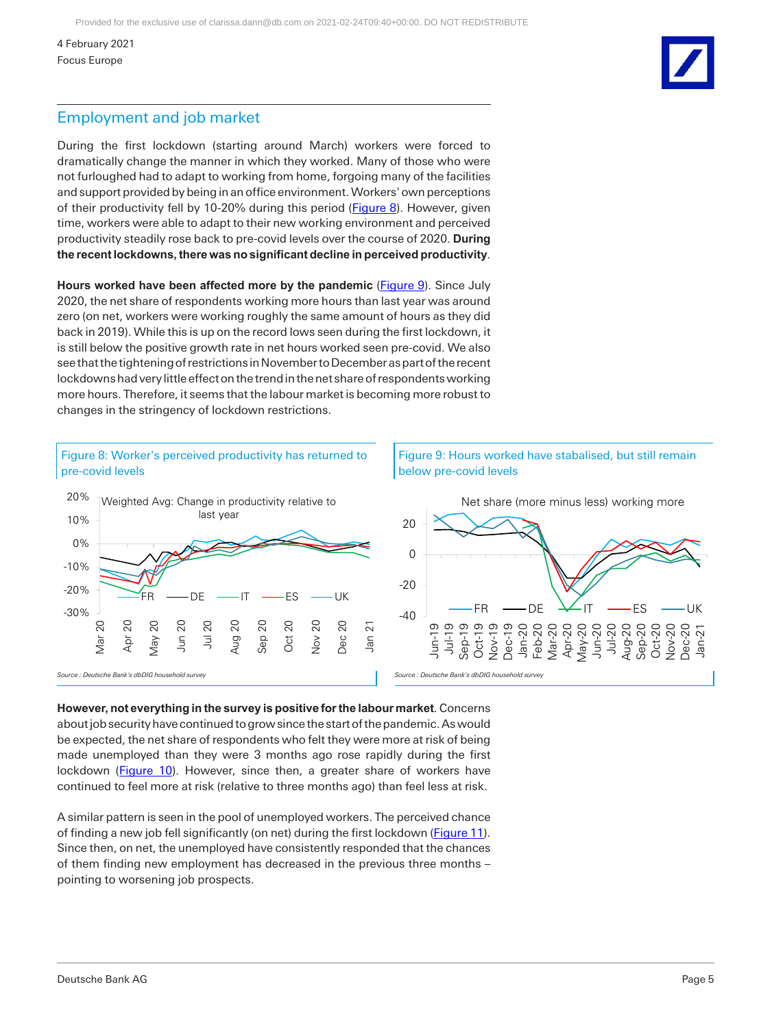# Employment and job market

During the first lockdown (starting around March) workers were forced to dramatically change the manner in which they worked. Many of those who were not furloughed had to adapt to working from home, forgoing many of the facilities and support provided by being in an office environment. Workers' own perceptions of their productivity fell by 10-20% during this period [\(Figure 8\)](#page-4-0). However, given time, workers were able to adapt to their new working environment and perceived productivity steadily rose back to pre-covid levels over the course of 2020. **During the recent lockdowns, there was no significant decline in perceived productivity**.

**Hours worked have been affected more by the pandemic** [\(Figure 9\)](#page-4-1). Since July 2020, the net share of respondents working more hours than last year was around zero (on net, workers were working roughly the same amount of hours as they did back in 2019). While this is up on the record lows seen during the first lockdown, it is still below the positive growth rate in net hours worked seen pre-covid. We also see that the tightening of restrictions in November to December as part of the recent lockdowns had very little effect on the trend in the net share of respondents working more hours. Therefore, it seems that the labour market is becoming more robust to changes in the stringency of lockdown restrictions.

<span id="page-4-1"></span><span id="page-4-0"></span>

**However, not everything in the survey is positive for the labour market**. Concerns about job security have continued to grow since the start of the pandemic. As would be expected, the net share of respondents who felt they were more at risk of being made unemployed than they were 3 months ago rose rapidly during the first lockdown [\(Figure 10\)](#page-5-0). However, since then, a greater share of workers have continued to feel more at risk (relative to three months ago) than feel less at risk.

A similar pattern is seen in the pool of unemployed workers. The perceived chance of finding a new job fell significantly (on net) during the first lockdown [\(Figure 11\)](#page-5-1). Since then, on net, the unemployed have consistently responded that the chances of them finding new employment has decreased in the previous three months – pointing to worsening job prospects.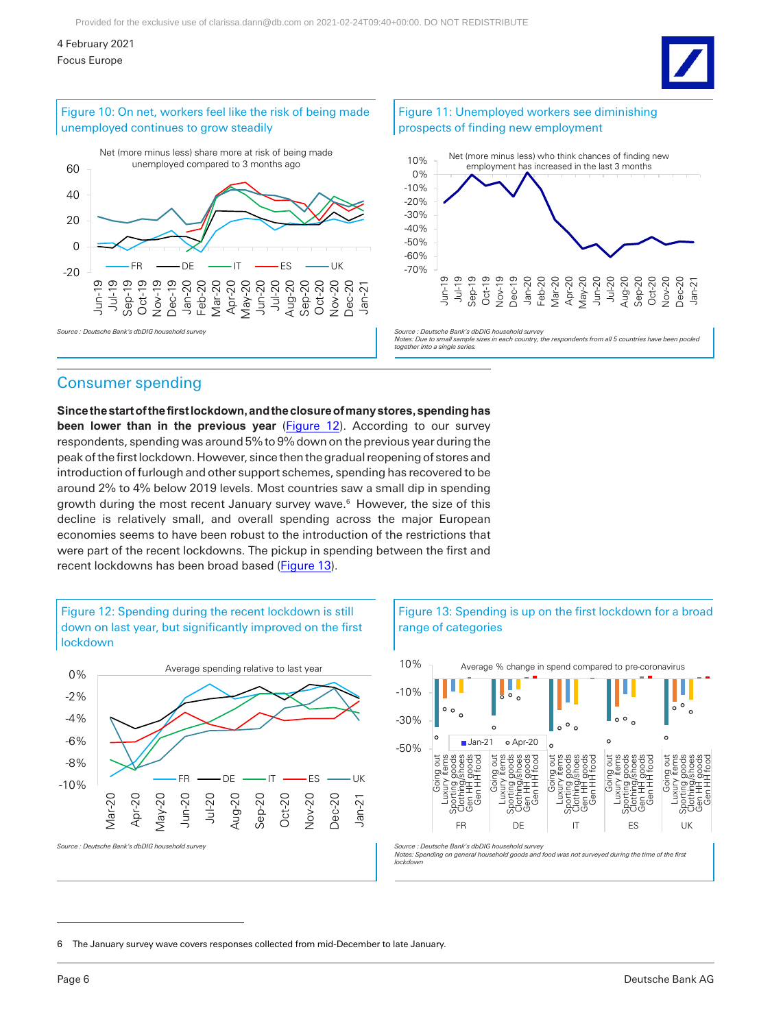### 4 February 2021

<span id="page-5-1"></span>Focus Europe

<span id="page-5-0"></span>

**Since the start of the first lockdown, and the closure of many stores, spending has been lower than in the previous year** (*Figure 12*). According to our survey respondents, spending was around 5% to 9% down on the previous year during the peak of the first lockdown. However, since then the gradual reopening of stores and introduction of furlough and other support schemes, spending has recovered to be around 2% to 4% below 2019 levels. Most countries saw a small dip in spending growth during the most recent January survey wave.<sup>6</sup> However, the size of this decline is relatively small, and overall spending across the major European economies seems to have been robust to the introduction of the restrictions that were part of the recent lockdowns. The pickup in spending between the first and recent lockdowns has been broad based [\(Figure 13\)](#page-5-3).

<span id="page-5-2"></span>



<span id="page-5-3"></span>



6 The January survey wave covers responses collected from mid-December to late January.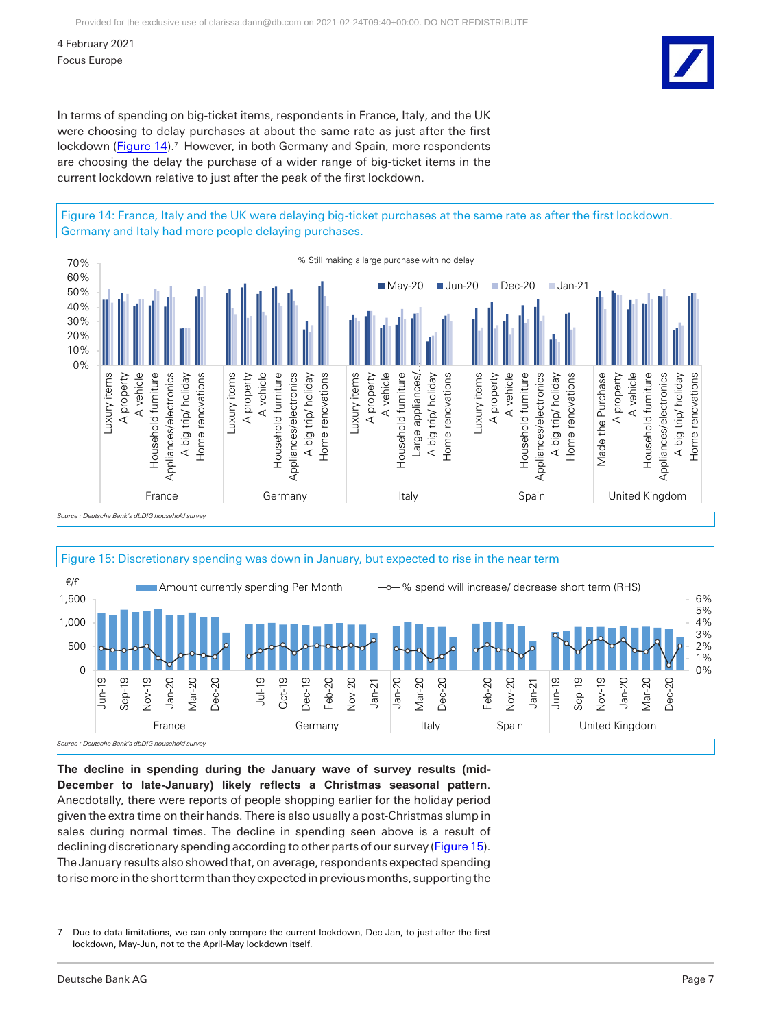In terms of spending on big-ticket items, respondents in France, Italy, and the UK were choosing to delay purchases at about the same rate as just after the first lockdown [\(Figure 14\)](#page-6-0).<sup>7</sup> However, in both Germany and Spain, more respondents are choosing the delay the purchase of a wider range of big-ticket items in the current lockdown relative to just after the peak of the first lockdown.

<span id="page-6-0"></span>Figure 14: France, Italy and the UK were delaying big-ticket purchases at the same rate as after the first lockdown. Germany and Italy had more people delaying purchases.



<span id="page-6-1"></span>

**The decline in spending during the January wave of survey results (mid-December to late-January) likely reflects a Christmas seasonal pattern**. Anecdotally, there were reports of people shopping earlier for the holiday period given the extra time on their hands. There is also usually a post-Christmas slump in sales during normal times. The decline in spending seen above is a result of declining discretionary spending according to other parts of our survey [\(Figure 15\)](#page-6-1). The January results also showed that, on average, respondents expected spending to rise more in the short term than they expected in previous months, supporting the

<sup>7</sup> Due to data limitations, we can only compare the current lockdown, Dec-Jan, to just after the first lockdown, May-Jun, not to the April-May lockdown itself.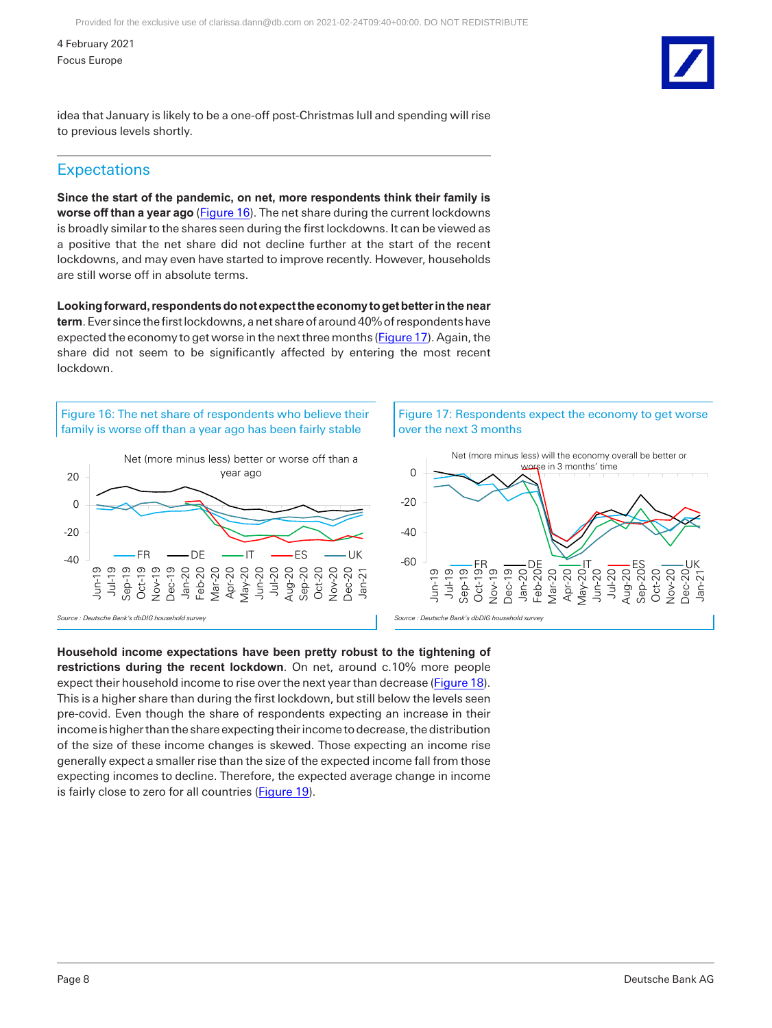idea that January is likely to be a one-off post-Christmas lull and spending will rise to previous levels shortly.

# **Expectations**

**Since the start of the pandemic, on net, more respondents think their family is worse off than a year ago** [\(Figure 16\)](#page-7-0). The net share during the current lockdowns is broadly similar to the shares seen during the first lockdowns. It can be viewed as a positive that the net share did not decline further at the start of the recent lockdowns, and may even have started to improve recently. However, households are still worse off in absolute terms.

**Looking forward, respondents do not expect the economy to get better in the near term**. Ever since the first lockdowns, a net share of around 40% of respondents have expected the economy to get worse in the next three months [\(Figure 17\)](#page-7-1). Again, the share did not seem to be significantly affected by entering the most recent lockdown.

<span id="page-7-0"></span>Figure 16: The net share of respondents who believe their family is worse off than a year ago has been fairly stable





<span id="page-7-1"></span>Figure 17: Respondents expect the economy to get worse over the next 3 months



**Household income expectations have been pretty robust to the tightening of restrictions during the recent lockdown**. On net, around c.10% more people expect their household income to rise over the next year than decrease [\(Figure 18\)](#page-8-0). This is a higher share than during the first lockdown, but still below the levels seen pre-covid. Even though the share of respondents expecting an increase in their income is higher than the share expecting their income to decrease, the distribution of the size of these income changes is skewed. Those expecting an income rise generally expect a smaller rise than the size of the expected income fall from those expecting incomes to decline. Therefore, the expected average change in income is fairly close to zero for all countries (**Figure 19**).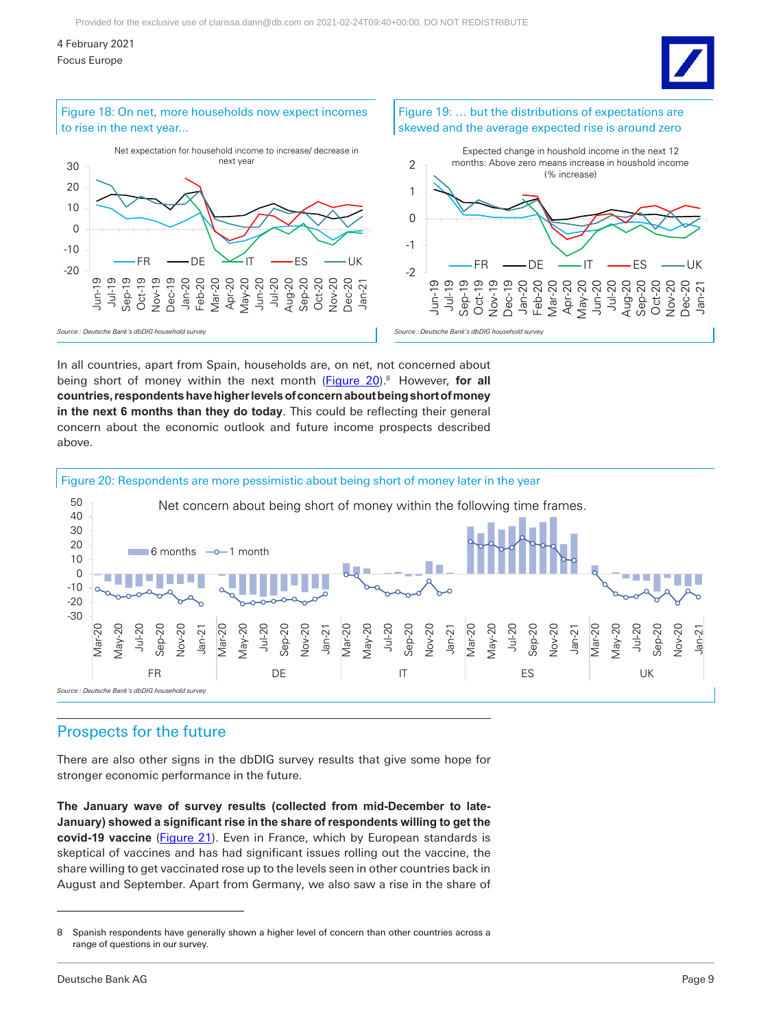# 4 February 2021

Focus Europe



<span id="page-8-0"></span>





<span id="page-8-1"></span>Figure 19: … but the distributions of expectations are

In all countries, apart from Spain, households are, on net, not concerned about being short of money within the next month [\(Figure 20\)](#page-8-2).<sup>8</sup> However, for all **countries, respondents have higher levels of concern about being short of money in the next 6 months than they do today**. This could be reflecting their general concern about the economic outlook and future income prospects described above.

<span id="page-8-2"></span>

# Prospects for the future

There are also other signs in the dbDIG survey results that give some hope for stronger economic performance in the future.

**The January wave of survey results (collected from mid-December to late-January) showed a significant rise in the share of respondents willing to get the covid-19 vaccine** [\(Figure 21\)](#page-9-0). Even in France, which by European standards is skeptical of vaccines and has had significant issues rolling out the vaccine, the share willing to get vaccinated rose up to the levels seen in other countries back in August and September. Apart from Germany, we also saw a rise in the share of

<sup>8</sup> Spanish respondents have generally shown a higher level of concern than other countries across a range of questions in our survey.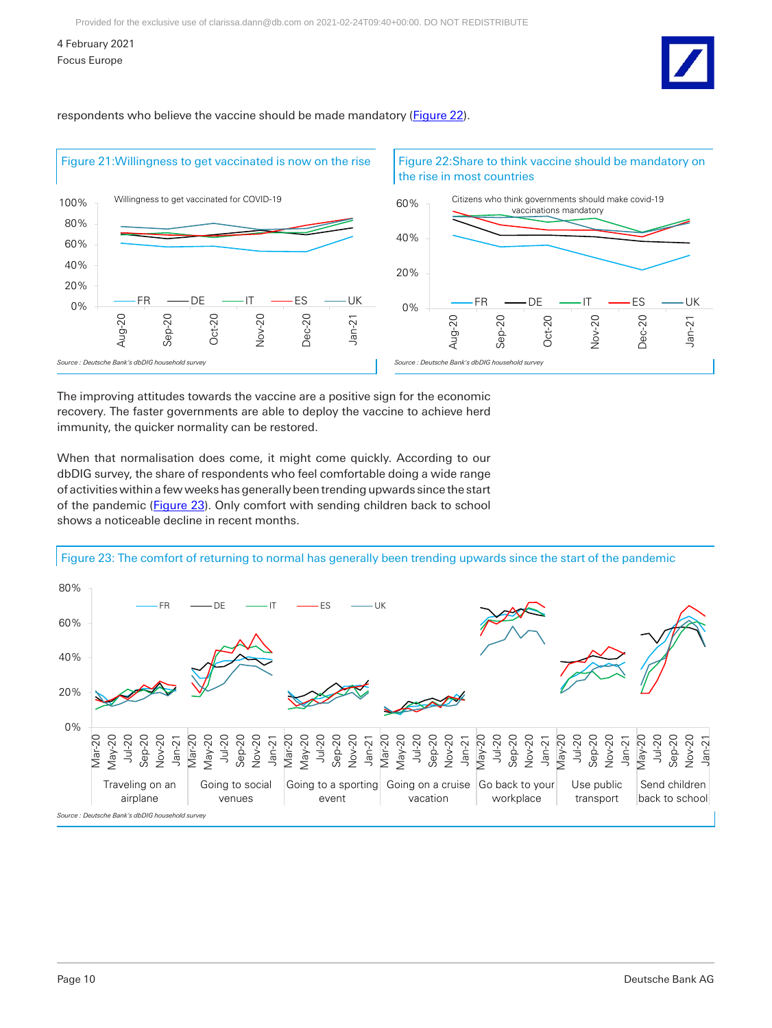<span id="page-9-1"></span>respondents who believe the vaccine should be made mandatory [\(Figure 22\)](#page-9-1).

<span id="page-9-0"></span>

The improving attitudes towards the vaccine are a positive sign for the economic recovery. The faster governments are able to deploy the vaccine to achieve herd immunity, the quicker normality can be restored.

When that normalisation does come, it might come quickly. According to our dbDIG survey, the share of respondents who feel comfortable doing a wide range of activities within a few weeks has generally been trending upwards since the start of the pandemic [\(Figure 23\)](#page-9-2). Only comfort with sending children back to school shows a noticeable decline in recent months.

<span id="page-9-2"></span>Figure 23: The comfort of returning to normal has generally been trending upwards since the start of the pandemic

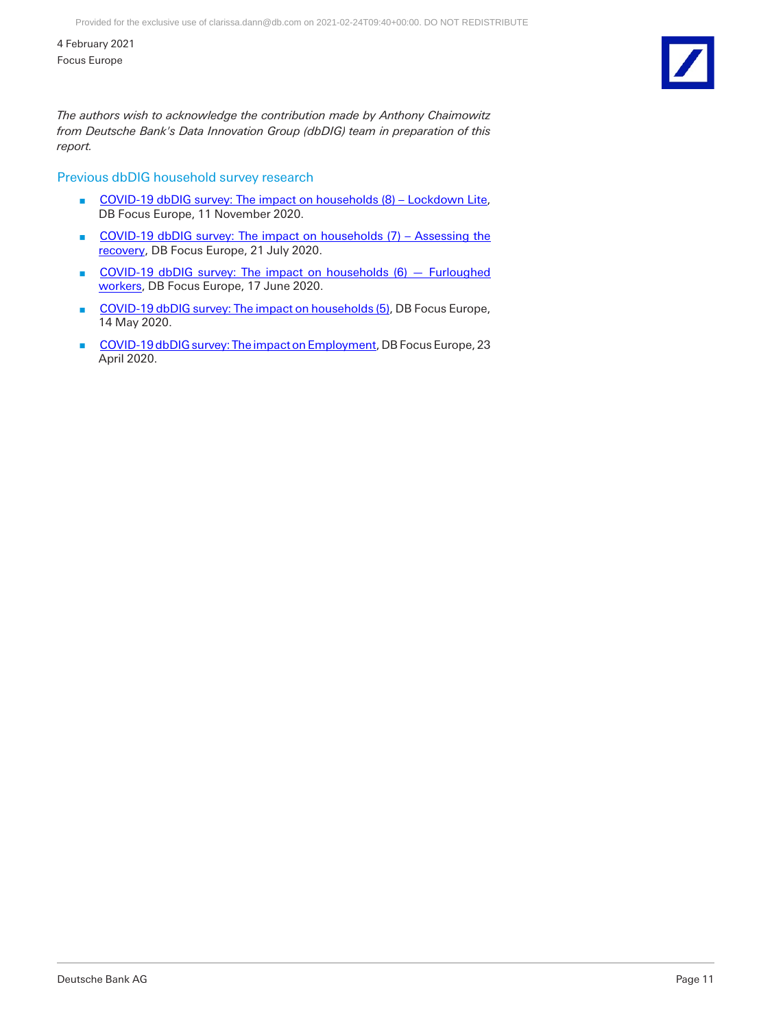*The authors wish to acknowledge the contribution made by Anthony Chaimowitz from Deutsche Bank's Data Innovation Group (dbDIG) team in preparation of this report.*

## Previous dbDIG household survey research

- [COVID-19 dbDIG survey: The impact on households \(8\) Lockdown Lite,](https://research.db.com/Research/TinyUrl/358VT) DB Focus Europe, 11 November 2020.
- COVID-19 dbDIG survey: The impact on households (7) Assessing the [recovery,](https://research.db.com/Research/Article?rid=08938196_c676_11ea_8ffe_5d371a5d1e83_604&kid=RP0001&wt_cc1=IND-2289662-4856) DB Focus Europe, 21 July 2020.
- **n** COVID-19 dbDIG survey: The impact on households (6) Furloughed [workers,](https://research.db.com/Research/Article?rid=dde4ee84_aa38_11ea_9816_875270e3eb39_604&kid=RP0001&wt_cc1=IND-2289662-4856) DB Focus Europe, 17 June 2020.
- [COVID-19 dbDIG survey: The impact on households \(5\),](https://research.db.com/Research/Article?rid=a00015df_dabb_49b7_8f16_39b3540c5cbf_604&kid=RP0001&wt_cc1=IND-2289662-4856) DB Focus Europe, 14 May 2020.
- [COVID-19 dbDIG survey: The impact on Employment,](https://research.db.com/Research/Article?rid=2aa02209_7758_4d54_afa7_7aac577e1b6a_604&kid=RP0001&wt_cc1=IND-2289662-4856) DB Focus Europe, 23 April 2020.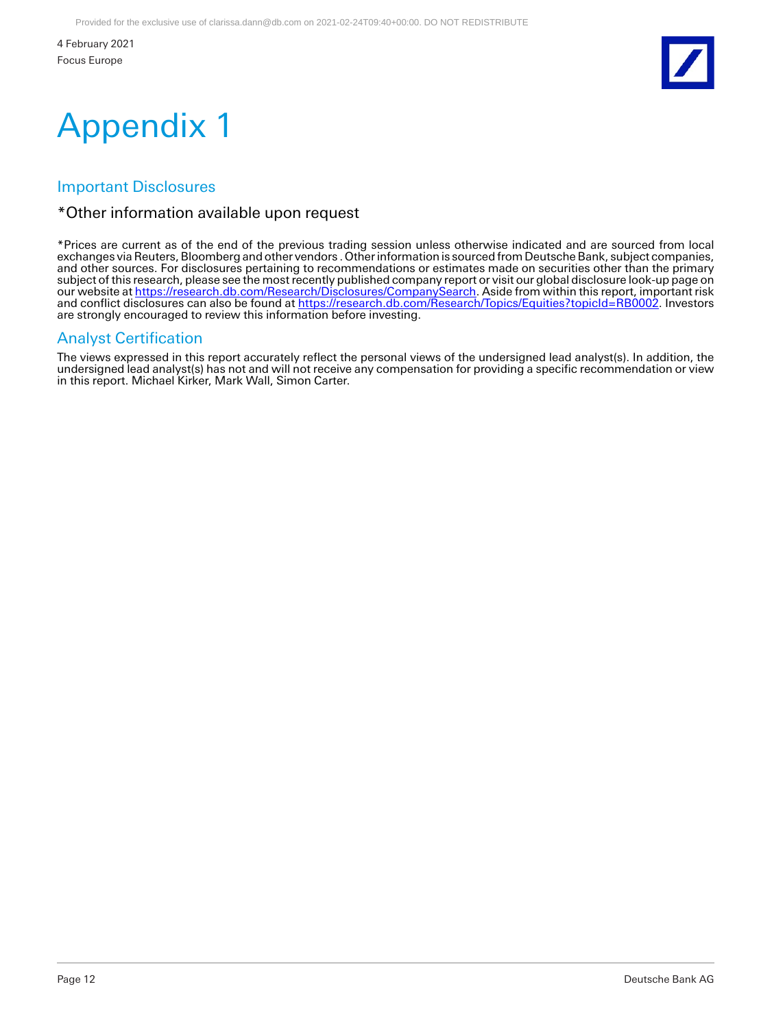

# Appendix 1

# Important Disclosures

# \*Other information available upon request

\*Prices are current as of the end of the previous trading session unless otherwise indicated and are sourced from local exchanges via Reuters, Bloomberg and other vendors . Other information is sourced from Deutsche Bank, subject companies, and other sources. For disclosures pertaining to recommendations or estimates made on securities other than the primary subject of this research, please see the most recently published company report or visit our global disclosure look-up page on our website at <u>https://research.db.com/Research/Disclosures/CompanySearch</u>. Aside from within this report, important risk and conflict disclosures can also be found at <u>https://research.db.com/Research/Topics/Equities?topicId=RB0002</u>. Investors are strongly encouraged to review this information before investing.

# Analyst Certification

The views expressed in this report accurately reflect the personal views of the undersigned lead analyst(s). In addition, the undersigned lead analyst(s) has not and will not receive any compensation for providing a specific recommendation or view in this report. Michael Kirker, Mark Wall, Simon Carter.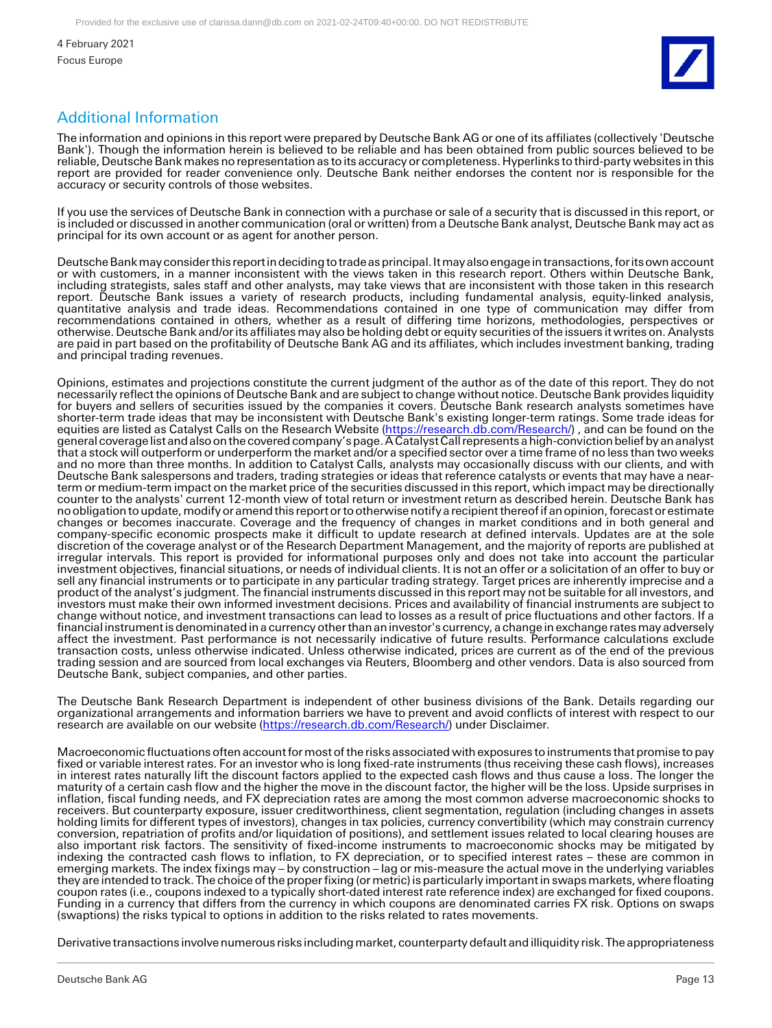

# Additional Information

The information and opinions in this report were prepared by Deutsche Bank AG or one of its affiliates (collectively 'Deutsche Bank'). Though the information herein is believed to be reliable and has been obtained from public sources believed to be reliable, Deutsche Bank makes no representation as to its accuracy or completeness. Hyperlinks to third-party websites in this report are provided for reader convenience only. Deutsche Bank neither endorses the content nor is responsible for the accuracy or security controls of those websites.

If you use the services of Deutsche Bank in connection with a purchase or sale of a security that is discussed in this report, or is included or discussed in another communication (oral or written) from a Deutsche Bank analyst, Deutsche Bank may act as principal for its own account or as agent for another person.

Deutsche Bank may consider this report in deciding to trade as principal. It may also engage in transactions, for its own account or with customers, in a manner inconsistent with the views taken in this research report. Others within Deutsche Bank, including strategists, sales staff and other analysts, may take views that are inconsistent with those taken in this research report. Deutsche Bank issues a variety of research products, including fundamental analysis, equity-linked analysis, quantitative analysis and trade ideas. Recommendations contained in one type of communication may differ from recommendations contained in others, whether as a result of differing time horizons, methodologies, perspectives or otherwise. Deutsche Bank and/or its affiliates may also be holding debt or equity securities of the issuers it writes on. Analysts are paid in part based on the profitability of Deutsche Bank AG and its affiliates, which includes investment banking, trading and principal trading revenues.

Opinions, estimates and projections constitute the current judgment of the author as of the date of this report. They do not necessarily reflect the opinions of Deutsche Bank and are subject to change without notice. Deutsche Bank provides liquidity for buyers and sellers of securities issued by the companies it covers. Deutsche Bank research analysts sometimes have shorter-term trade ideas that may be inconsistent with Deutsche Bank's existing longer-term ratings. Some trade ideas for equities are listed as Catalyst Calls on the Research Website [\(https://research.db.com/Research/\)](https://research.db.com/Research/), and can be found on the general coverage list and also on the covered company's page. A Catalyst Call represents a high-conviction belief by an analyst that a stock will outperform or underperform the market and/or a specified sector over a time frame of no less than two weeks and no more than three months. In addition to Catalyst Calls, analysts may occasionally discuss with our clients, and with Deutsche Bank salespersons and traders, trading strategies or ideas that reference catalysts or events that may have a nearterm or medium-term impact on the market price of the securities discussed in this report, which impact may be directionally counter to the analysts' current 12-month view of total return or investment return as described herein. Deutsche Bank has no obligation to update, modify or amend this report or to otherwise notify a recipient thereof if an opinion, forecast or estimate changes or becomes inaccurate. Coverage and the frequency of changes in market conditions and in both general and company-specific economic prospects make it difficult to update research at defined intervals. Updates are at the sole discretion of the coverage analyst or of the Research Department Management, and the majority of reports are published at irregular intervals. This report is provided for informational purposes only and does not take into account the particular investment objectives, financial situations, or needs of individual clients. It is not an offer or a solicitation of an offer to buy or sell any financial instruments or to participate in any particular trading strategy. Target prices are inherently imprecise and a product of the analyst's judgment. The financial instruments discussed in this report may not be suitable for all investors, and investors must make their own informed investment decisions. Prices and availability of financial instruments are subject to change without notice, and investment transactions can lead to losses as a result of price fluctuations and other factors. If a financial instrument is denominated in a currency other than an investor's currency, a change in exchange rates may adversely affect the investment. Past performance is not necessarily indicative of future results. Performance calculations exclude transaction costs, unless otherwise indicated. Unless otherwise indicated, prices are current as of the end of the previous trading session and are sourced from local exchanges via Reuters, Bloomberg and other vendors. Data is also sourced from Deutsche Bank, subject companies, and other parties.

The Deutsche Bank Research Department is independent of other business divisions of the Bank. Details regarding our organizational arrangements and information barriers we have to prevent and avoid conflicts of interest with respect to our research are available on our website [\(https://research.db.com/Research/\)](https://research.db.com/Research/) under Disclaimer.

Macroeconomic fluctuations often account for most of the risks associated with exposures to instruments that promise to pay fixed or variable interest rates. For an investor who is long fixed-rate instruments (thus receiving these cash flows), increases in interest rates naturally lift the discount factors applied to the expected cash flows and thus cause a loss. The longer the maturity of a certain cash flow and the higher the move in the discount factor, the higher will be the loss. Upside surprises in inflation, fiscal funding needs, and FX depreciation rates are among the most common adverse macroeconomic shocks to receivers. But counterparty exposure, issuer creditworthiness, client segmentation, regulation (including changes in assets holding limits for different types of investors), changes in tax policies, currency convertibility (which may constrain currency conversion, repatriation of profits and/or liquidation of positions), and settlement issues related to local clearing houses are also important risk factors. The sensitivity of fixed-income instruments to macroeconomic shocks may be mitigated by indexing the contracted cash flows to inflation, to FX depreciation, or to specified interest rates – these are common in emerging markets. The index fixings may – by construction – lag or mis-measure the actual move in the underlying variables they are intended to track. The choice of the proper fixing (or metric) is particularly important in swaps markets, where floating coupon rates (i.e., coupons indexed to a typically short-dated interest rate reference index) are exchanged for fixed coupons. Funding in a currency that differs from the currency in which coupons are denominated carries FX risk. Options on swaps (swaptions) the risks typical to options in addition to the risks related to rates movements.

Derivative transactions involve numerous risks including market, counterparty default and illiquidity risk. The appropriateness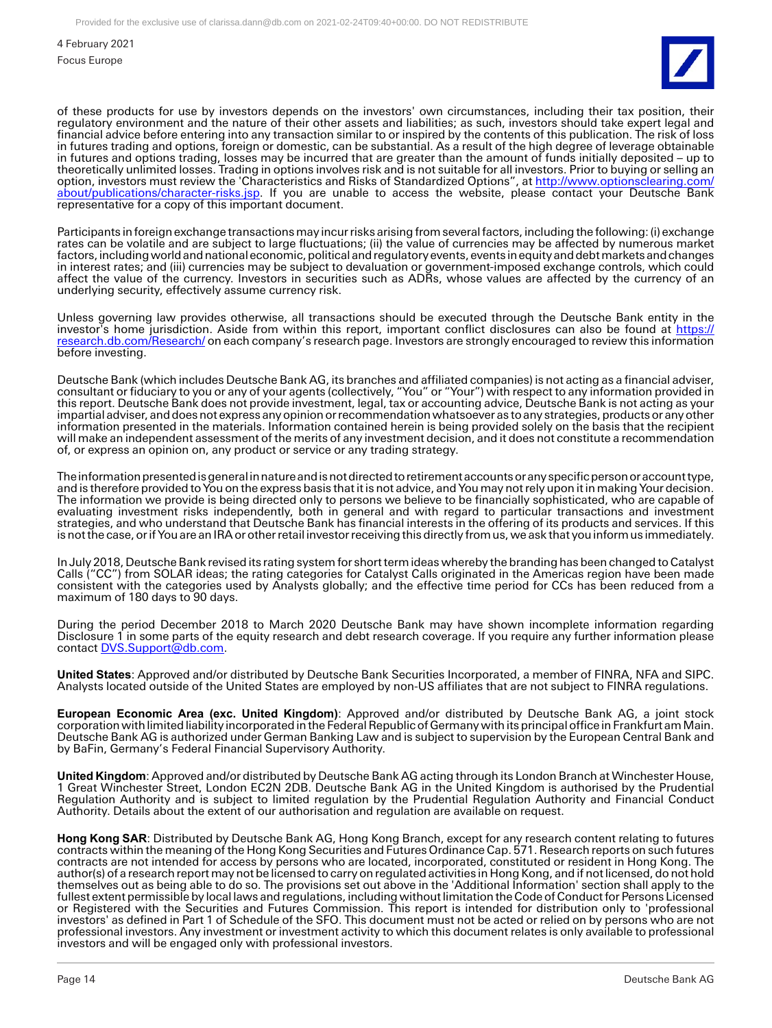

of these products for use by investors depends on the investors' own circumstances, including their tax position, their regulatory environment and the nature of their other assets and liabilities; as such, investors should take expert legal and financial advice before entering into any transaction similar to or inspired by the contents of this publication. The risk of loss in futures trading and options, foreign or domestic, can be substantial. As a result of the high degree of leverage obtainable in futures and options trading, losses may be incurred that are greater than the amount of funds initially deposited – up to theoretically unlimited losses. Trading in options involves risk and is not suitable for all investors. Prior to buying or selling an option, investors must review the 'Characteristics and Risks of Standardized Options", at [http://www.optionsclearing.com/](http://www.optionsclearing.com/about/publications/character-risks.jsp) [about/publications/character-risks.jsp.](http://www.optionsclearing.com/about/publications/character-risks.jsp) If you are unable to access the website, please contact your Deutsche Bank representative for a copy of this important document.

Participants in foreign exchange transactions may incur risks arising from several factors, including the following: (i) exchange rates can be volatile and are subject to large fluctuations; (ii) the value of currencies may be affected by numerous market factors, including world and national economic, political and regulatory events, events in equity and debt markets and changes in interest rates; and (iii) currencies may be subject to devaluation or government-imposed exchange controls, which could affect the value of the currency. Investors in securities such as ADRs, whose values are affected by the currency of an underlying security, effectively assume currency risk.

Unless governing law provides otherwise, all transactions should be executed through the Deutsche Bank entity in the investor's home jurisdiction. Aside from within this report, important conflict disclosures can also be found at [https://](https://research.db.com/Research/) [research.db.com/Research/](https://research.db.com/Research/) on each company's research page. Investors are strongly encouraged to review this information before investing.

Deutsche Bank (which includes Deutsche Bank AG, its branches and affiliated companies) is not acting as a financial adviser, consultant or fiduciary to you or any of your agents (collectively, "You" or "Your") with respect to any information provided in this report. Deutsche Bank does not provide investment, legal, tax or accounting advice, Deutsche Bank is not acting as your impartial adviser, and does not express any opinion or recommendation whatsoever as to any strategies, products or any other information presented in the materials. Information contained herein is being provided solely on the basis that the recipient will make an independent assessment of the merits of any investment decision, and it does not constitute a recommendation of, or express an opinion on, any product or service or any trading strategy.

The information presented is general in nature and is not directed to retirement accounts or any specific person or account type, and is therefore provided to You on the express basis that it is not advice, and You may not rely upon it in making Your decision. The information we provide is being directed only to persons we believe to be financially sophisticated, who are capable of evaluating investment risks independently, both in general and with regard to particular transactions and investment strategies, and who understand that Deutsche Bank has financial interests in the offering of its products and services. If this is not the case, or if You are an IRA or other retail investor receiving this directly from us, we ask that you inform us immediately.

In July 2018, Deutsche Bank revised its rating system for short term ideas whereby the branding has been changed to Catalyst Calls ("CC") from SOLAR ideas; the rating categories for Catalyst Calls originated in the Americas region have been made consistent with the categories used by Analysts globally; and the effective time period for CCs has been reduced from a maximum of 180 days to 90 days.

During the period December 2018 to March 2020 Deutsche Bank may have shown incomplete information regarding Disclosure 1 in some parts of the equity research and debt research coverage. If you require any further information please contact [DVS.Support@db.com.](mailto:DVS.Support@db.com)

**United States**: Approved and/or distributed by Deutsche Bank Securities Incorporated, a member of FINRA, NFA and SIPC. Analysts located outside of the United States are employed by non-US affiliates that are not subject to FINRA regulations.

**European Economic Area (exc. United Kingdom)**: Approved and/or distributed by Deutsche Bank AG, a joint stock corporation with limited liability incorporated in the Federal Republic of Germany with its principal office in Frankfurt am Main. Deutsche Bank AG is authorized under German Banking Law and is subject to supervision by the European Central Bank and by BaFin, Germany's Federal Financial Supervisory Authority.

**United Kingdom**: Approved and/or distributed by Deutsche Bank AG acting through its London Branch at Winchester House, 1 Great Winchester Street, London EC2N 2DB. Deutsche Bank AG in the United Kingdom is authorised by the Prudential Regulation Authority and is subject to limited regulation by the Prudential Regulation Authority and Financial Conduct Authority. Details about the extent of our authorisation and regulation are available on request.

**Hong Kong SAR**: Distributed by Deutsche Bank AG, Hong Kong Branch, except for any research content relating to futures contracts within the meaning of the Hong Kong Securities and Futures Ordinance Cap. 571. Research reports on such futures contracts are not intended for access by persons who are located, incorporated, constituted or resident in Hong Kong. The author(s) of a research report may not be licensed to carry on regulated activities in Hong Kong, and if not licensed, do not hold themselves out as being able to do so. The provisions set out above in the 'Additional Information' section shall apply to the fullest extent permissible by local laws and regulations, including without limitation the Code of Conduct for Persons Licensed or Registered with the Securities and Futures Commission. This report is intended for distribution only to 'professional investors' as defined in Part 1 of Schedule of the SFO. This document must not be acted or relied on by persons who are not professional investors. Any investment or investment activity to which this document relates is only available to professional investors and will be engaged only with professional investors.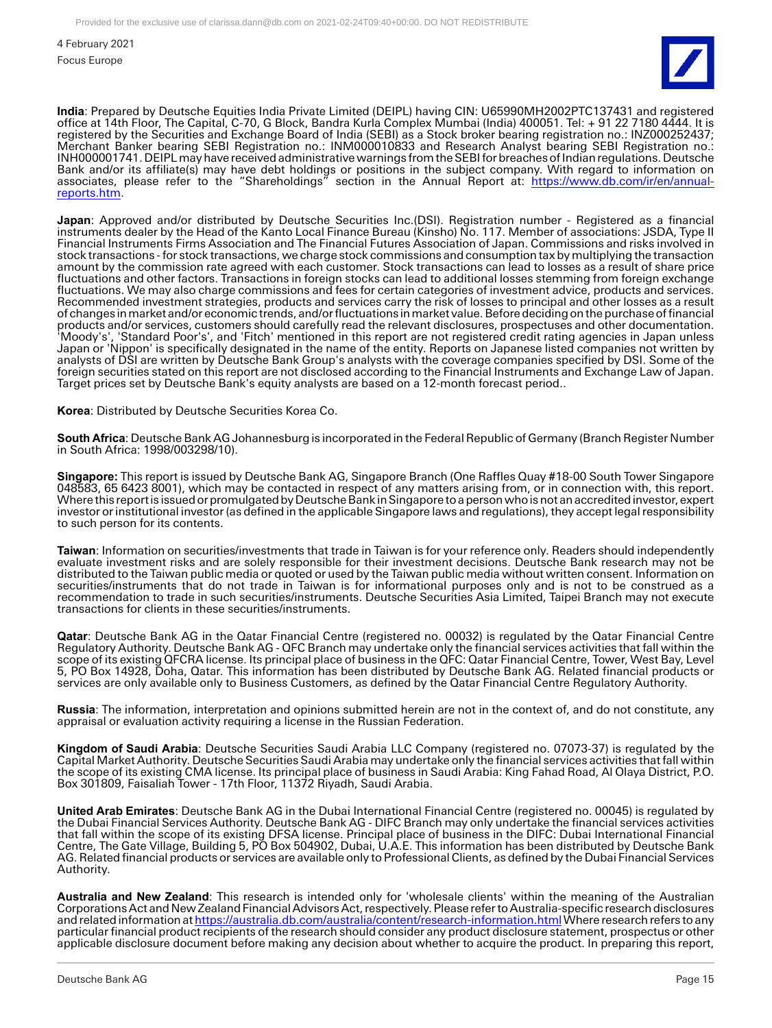

**India**: Prepared by Deutsche Equities India Private Limited (DEIPL) having CIN: U65990MH2002PTC137431 and registered office at 14th Floor, The Capital, C-70, G Block, Bandra Kurla Complex Mumbai (India) 400051. Tel: + 91 22 7180 4444. It is registered by the Securities and Exchange Board of India (SEBI) as a Stock broker bearing registration no.: INZ000252437; Merchant Banker bearing SEBI Registration no.: INM000010833 and Research Analyst bearing SEBI Registration no.: INH000001741. DEIPL may have received administrative warnings from the SEBI for breaches of Indian regulations. Deutsche Bank and/or its affiliate(s) may have debt holdings or positions in the subject company. With regard to information on associates, please refer to the "Shareholdings" section in the Annual Report at: <u>https://www.db.com/ir/en/annual-</u> [reports.htm.](https://www.db.com/ir/en/annual-reports.htm)

**Japan**: Approved and/or distributed by Deutsche Securities Inc.(DSI). Registration number - Registered as a financial instruments dealer by the Head of the Kanto Local Finance Bureau (Kinsho) No. 117. Member of associations: JSDA, Type II Financial Instruments Firms Association and The Financial Futures Association of Japan. Commissions and risks involved in stock transactions - for stock transactions, we charge stock commissions and consumption tax by multiplying the transaction amount by the commission rate agreed with each customer. Stock transactions can lead to losses as a result of share price fluctuations and other factors. Transactions in foreign stocks can lead to additional losses stemming from foreign exchange fluctuations. We may also charge commissions and fees for certain categories of investment advice, products and services. Recommended investment strategies, products and services carry the risk of losses to principal and other losses as a result of changes in market and/or economic trends, and/or fluctuations in market value. Before deciding on the purchase of financial products and/or services, customers should carefully read the relevant disclosures, prospectuses and other documentation. 'Moody's', 'Standard Poor's', and 'Fitch' mentioned in this report are not registered credit rating agencies in Japan unless Japan or 'Nippon' is specifically designated in the name of the entity. Reports on Japanese listed companies not written by analysts of DSI are written by Deutsche Bank Group's analysts with the coverage companies specified by DSI. Some of the foreign securities stated on this report are not disclosed according to the Financial Instruments and Exchange Law of Japan. Target prices set by Deutsche Bank's equity analysts are based on a 12-month forecast period..

**Korea**: Distributed by Deutsche Securities Korea Co.

**South Africa**: Deutsche Bank AG Johannesburg is incorporated in the Federal Republic of Germany (Branch Register Number in South Africa: 1998/003298/10).

**Singapore:** This report is issued by Deutsche Bank AG, Singapore Branch (One Raffles Quay #18-00 South Tower Singapore 048583, 65 6423 8001), which may be contacted in respect of any matters arising from, or in connection with, this report. Where this report is issued or promulgated by Deutsche Bank in Singapore to a person who is not an accredited investor, expert investor or institutional investor (as defined in the applicable Singapore laws and regulations), they accept legal responsibility to such person for its contents.

**Taiwan**: Information on securities/investments that trade in Taiwan is for your reference only. Readers should independently evaluate investment risks and are solely responsible for their investment decisions. Deutsche Bank research may not be distributed to the Taiwan public media or quoted or used by the Taiwan public media without written consent. Information on securities/instruments that do not trade in Taiwan is for informational purposes only and is not to be construed as a recommendation to trade in such securities/instruments. Deutsche Securities Asia Limited, Taipei Branch may not execute transactions for clients in these securities/instruments.

**Qatar**: Deutsche Bank AG in the Qatar Financial Centre (registered no. 00032) is regulated by the Qatar Financial Centre Regulatory Authority. Deutsche Bank AG - QFC Branch may undertake only the financial services activities that fall within the scope of its existing QFCRA license. Its principal place of business in the QFC: Qatar Financial Centre, Tower, West Bay, Level 5, PO Box 14928, Doha, Qatar. This information has been distributed by Deutsche Bank AG. Related financial products or services are only available only to Business Customers, as defined by the Qatar Financial Centre Regulatory Authority.

**Russia**: The information, interpretation and opinions submitted herein are not in the context of, and do not constitute, any appraisal or evaluation activity requiring a license in the Russian Federation.

**Kingdom of Saudi Arabia**: Deutsche Securities Saudi Arabia LLC Company (registered no. 07073-37) is regulated by the Capital Market Authority. Deutsche Securities Saudi Arabia may undertake only the financial services activities that fall within the scope of its existing CMA license. Its principal place of business in Saudi Arabia: King Fahad Road, Al Olaya District, P.O. Box 301809, Faisaliah Tower - 17th Floor, 11372 Riyadh, Saudi Arabia.

**United Arab Emirates**: Deutsche Bank AG in the Dubai International Financial Centre (registered no. 00045) is regulated by the Dubai Financial Services Authority. Deutsche Bank AG - DIFC Branch may only undertake the financial services activities that fall within the scope of its existing DFSA license. Principal place of business in the DIFC: Dubai International Financial Centre, The Gate Village, Building 5, PO Box 504902, Dubai, U.A.E. This information has been distributed by Deutsche Bank AG. Related financial products or services are available only to Professional Clients, as defined by the Dubai Financial Services Authority.

**Australia and New Zealand**: This research is intended only for 'wholesale clients' within the meaning of the Australian Corporations Act and New Zealand Financial Advisors Act, respectively. Please refer to Australia-specific research disclosures and related information a[t https://australia.db.com/australia/content/research-information.html W](https://australia.db.com/australia/content/research-information.html)here research refers to any particular financial product recipients of the research should consider any product disclosure statement, prospectus or other applicable disclosure document before making any decision about whether to acquire the product. In preparing this report,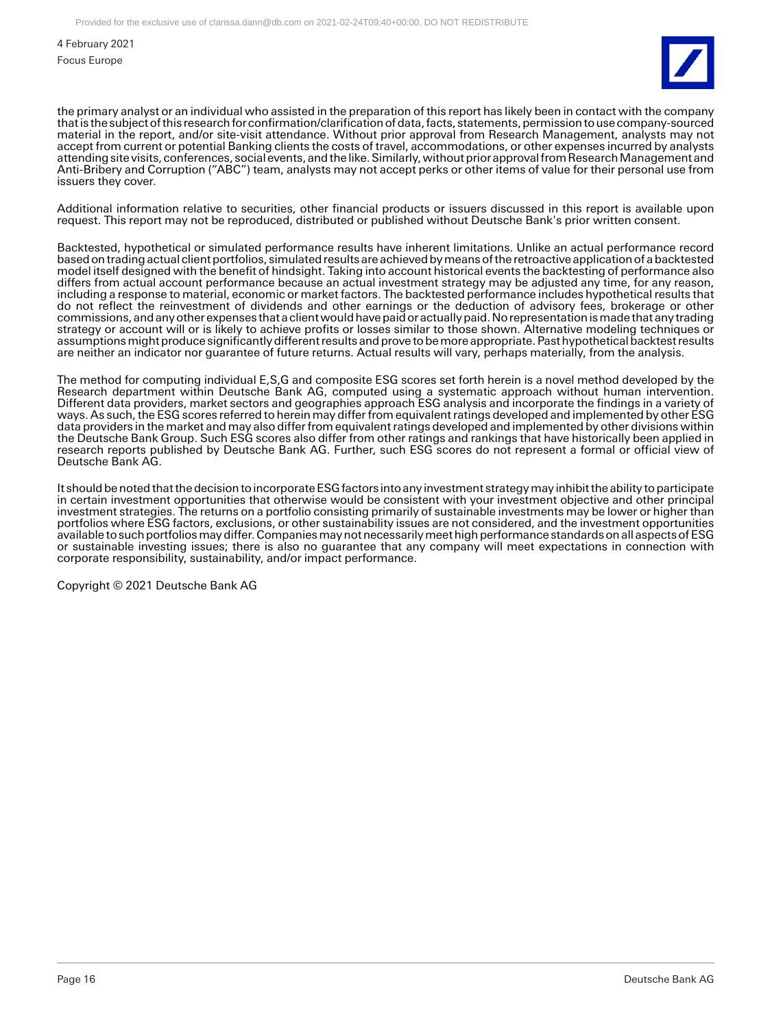

the primary analyst or an individual who assisted in the preparation of this report has likely been in contact with the company that is the subject of this research for confirmation/clarification of data, facts, statements, permission to use company-sourced material in the report, and/or site-visit attendance. Without prior approval from Research Management, analysts may not accept from current or potential Banking clients the costs of travel, accommodations, or other expenses incurred by analysts attending site visits, conferences, social events, and the like. Similarly, without prior approval from Research Management and Anti-Bribery and Corruption ("ABC") team, analysts may not accept perks or other items of value for their personal use from issuers they cover.

Additional information relative to securities, other financial products or issuers discussed in this report is available upon request. This report may not be reproduced, distributed or published without Deutsche Bank's prior written consent.

Backtested, hypothetical or simulated performance results have inherent limitations. Unlike an actual performance record based on trading actual client portfolios, simulated results are achieved by means of the retroactive application of a backtested model itself designed with the benefit of hindsight. Taking into account historical events the backtesting of performance also differs from actual account performance because an actual investment strategy may be adjusted any time, for any reason, including a response to material, economic or market factors. The backtested performance includes hypothetical results that do not reflect the reinvestment of dividends and other earnings or the deduction of advisory fees, brokerage or other commissions, and any other expenses that a client would have paid or actually paid. No representation is made that any trading strategy or account will or is likely to achieve profits or losses similar to those shown. Alternative modeling techniques or assumptions might produce significantly different results and prove to be more appropriate. Past hypothetical backtest results are neither an indicator nor guarantee of future returns. Actual results will vary, perhaps materially, from the analysis.

The method for computing individual E,S,G and composite ESG scores set forth herein is a novel method developed by the Research department within Deutsche Bank AG, computed using a systematic approach without human intervention. Different data providers, market sectors and geographies approach ESG analysis and incorporate the findings in a variety of ways. As such, the ESG scores referred to herein may differ from equivalent ratings developed and implemented by other ESG data providers in the market and may also differ from equivalent ratings developed and implemented by other divisions within the Deutsche Bank Group. Such ESG scores also differ from other ratings and rankings that have historically been applied in research reports published by Deutsche Bank AG. Further, such ESG scores do not represent a formal or official view of Deutsche Bank AG.

It should be noted that the decision to incorporate ESG factors into any investment strategy may inhibit the ability to participate in certain investment opportunities that otherwise would be consistent with your investment objective and other principal investment strategies. The returns on a portfolio consisting primarily of sustainable investments may be lower or higher than portfolios where ESG factors, exclusions, or other sustainability issues are not considered, and the investment opportunities available to such portfolios may differ. Companies may not necessarily meet high performance standards on all aspects of ESG or sustainable investing issues; there is also no guarantee that any company will meet expectations in connection with corporate responsibility, sustainability, and/or impact performance.

Copyright © 2021 Deutsche Bank AG